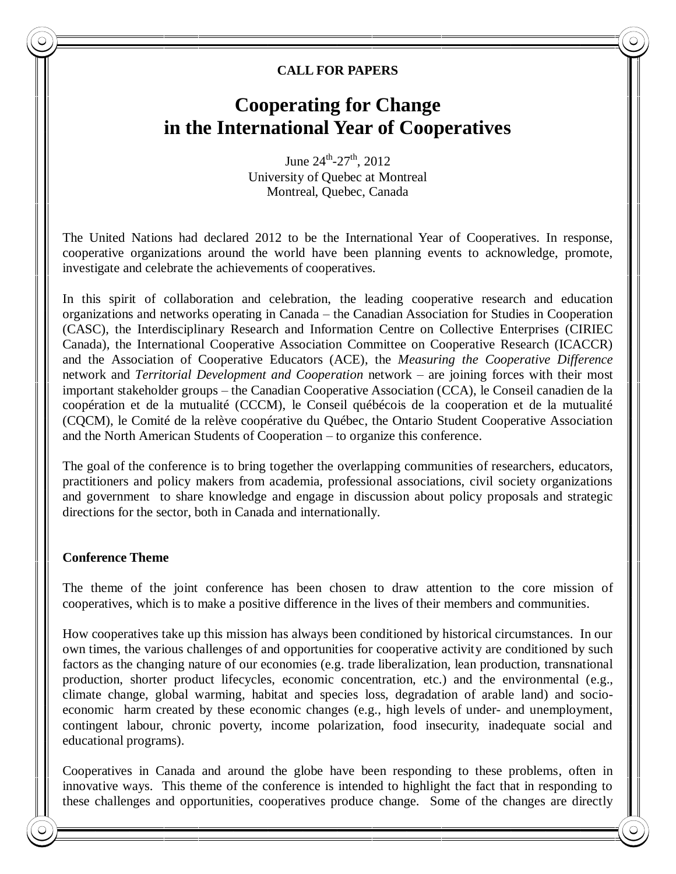## **CALL FOR PAPERS**

# **Cooperating for Change in the International Year of Cooperatives**

June  $24^{\text{th}}$ -27<sup>th</sup>, 2012 University of Quebec at Montreal Montreal, Quebec, Canada

The United Nations had declared 2012 to be the International Year of Cooperatives. In response, cooperative organizations around the world have been planning events to acknowledge, promote, investigate and celebrate the achievements of cooperatives.

In this spirit of collaboration and celebration, the leading cooperative research and education organizations and networks operating in Canada – the Canadian Association for Studies in Cooperation (CASC), the Interdisciplinary Research and Information Centre on Collective Enterprises (CIRIEC Canada), the International Cooperative Association Committee on Cooperative Research (ICACCR) and the Association of Cooperative Educators (ACE), the *Measuring the Cooperative Difference* network and *Territorial Development and Cooperation* network – are joining forces with their most important stakeholder groups – the Canadian Cooperative Association (CCA), le Conseil canadien de la coopération et de la mutualité (CCCM), le Conseil québécois de la cooperation et de la mutualité (CQCM), le Comité de la relève coopérative du Québec, the Ontario Student Cooperative Association and the North American Students of Cooperation – to organize this conference.

The goal of the conference is to bring together the overlapping communities of researchers, educators, practitioners and policy makers from academia, professional associations, civil society organizations and government to share knowledge and engage in discussion about policy proposals and strategic directions for the sector, both in Canada and internationally.

#### **Conference Theme**

The theme of the joint conference has been chosen to draw attention to the core mission of cooperatives, which is to make a positive difference in the lives of their members and communities.

How cooperatives take up this mission has always been conditioned by historical circumstances. In our own times, the various challenges of and opportunities for cooperative activity are conditioned by such factors as the changing nature of our economies (e.g. trade liberalization, lean production, transnational production, shorter product lifecycles, economic concentration, etc.) and the environmental (e.g., climate change, global warming, habitat and species loss, degradation of arable land) and socioeconomic harm created by these economic changes (e.g., high levels of under- and unemployment, contingent labour, chronic poverty, income polarization, food insecurity, inadequate social and educational programs).

Cooperatives in Canada and around the globe have been responding to these problems, often in innovative ways. This theme of the conference is intended to highlight the fact that in responding to these challenges and opportunities, cooperatives produce change. Some of the changes are directly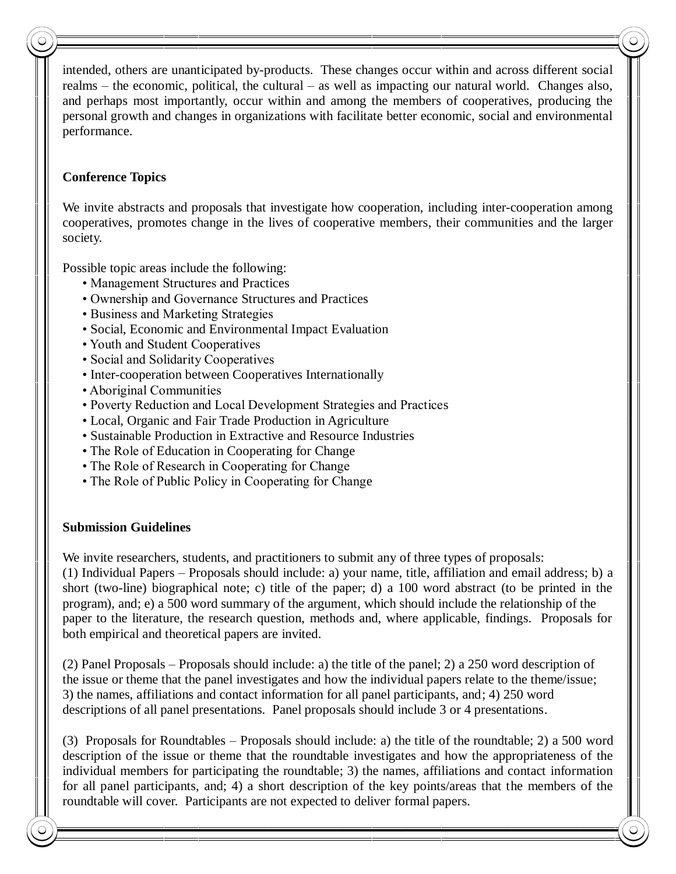intended, others are unanticipated by-products. These changes occur within and across different social realms – the economic, political, the cultural – as well as impacting our natural world. Changes also, and perhaps most importantly, occur within and among the members of cooperatives, producing the personal growth and changes in organizations with facilitate better economic, social and environmental performance.

#### **Conference Topics**

We invite abstracts and proposals that investigate how cooperation, including inter-cooperation among cooperatives, promotes change in the lives of cooperative members, their communities and the larger society.

Possible topic areas include the following:

- Management Structures and Practices
- Ownership and Governance Structures and Practices
- Business and Marketing Strategies
- Social, Economic and Environmental Impact Evaluation
- Youth and Student Cooperatives
- Social and Solidarity Cooperatives
- Inter-cooperation between Cooperatives Internationally
- Aboriginal Communities
- Poverty Reduction and Local Development Strategies and Practices
- Local, Organic and Fair Trade Production in Agriculture
- Sustainable Production in Extractive and Resource Industries
- The Role of Education in Cooperating for Change
- The Role of Research in Cooperating for Change
- The Role of Public Policy in Cooperating for Change

## **Submission Guidelines**

We invite researchers, students, and practitioners to submit any of three types of proposals:

(1) Individual Papers – Proposals should include: a) your name, title, affiliation and email address; b) a short (two-line) biographical note; c) title of the paper; d) a 100 word abstract (to be printed in the program), and; e) a 500 word summary of the argument, which should include the relationship of the paper to the literature, the research question, methods and, where applicable, findings. Proposals for both empirical and theoretical papers are invited.

(2) Panel Proposals – Proposals should include: a) the title of the panel; 2) a 250 word description of the issue or theme that the panel investigates and how the individual papers relate to the theme/issue; 3) the names, affiliations and contact information for all panel participants, and; 4) 250 word descriptions of all panel presentations. Panel proposals should include 3 or 4 presentations.

(3) Proposals for Roundtables – Proposals should include: a) the title of the roundtable; 2) a 500 word description of the issue or theme that the roundtable investigates and how the appropriateness of the individual members for participating the roundtable; 3) the names, affiliations and contact information for all panel participants, and; 4) a short description of the key points/areas that the members of the roundtable will cover. Participants are not expected to deliver formal papers.